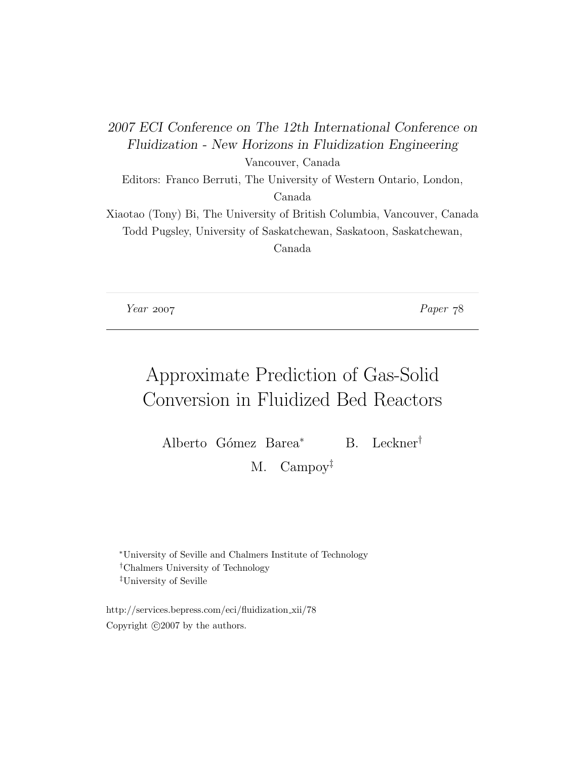2007 ECI Conference on The 12th International Conference on Fluidization - New Horizons in Fluidization Engineering Vancouver, Canada Editors: Franco Berruti, The University of Western Ontario, London, Canada Xiaotao (Tony) Bi, The University of British Columbia, Vancouver, Canada Todd Pugsley, University of Saskatchewan, Saskatoon, Saskatchewan, Canada

Year 2007 Paper 78

# Approximate Prediction of Gas-Solid Conversion in Fluidized Bed Reactors

Alberto Gómez Barea<sup>∗</sup> B. Leckner<sup>†</sup>

M. Campoy‡

<sup>∗</sup>University of Seville and Chalmers Institute of Technology †Chalmers University of Technology ‡University of Seville

http://services.bepress.com/eci/fluidization xii/78 Copyright  $\odot$ 2007 by the authors.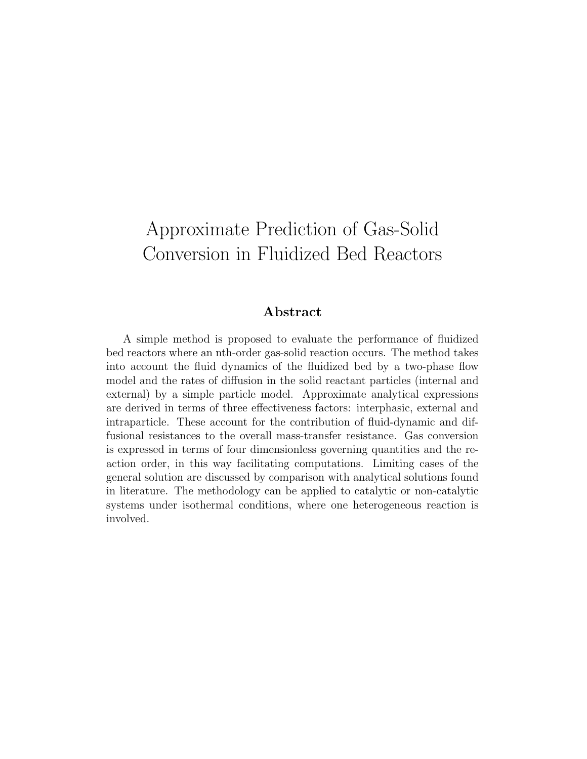# Approximate Prediction of Gas-Solid Conversion in Fluidized Bed Reactors

# Abstract

A simple method is proposed to evaluate the performance of fluidized bed reactors where an nth-order gas-solid reaction occurs. The method takes into account the fluid dynamics of the fluidized bed by a two-phase flow model and the rates of diffusion in the solid reactant particles (internal and external) by a simple particle model. Approximate analytical expressions are derived in terms of three effectiveness factors: interphasic, external and intraparticle. These account for the contribution of fluid-dynamic and diffusional resistances to the overall mass-transfer resistance. Gas conversion is expressed in terms of four dimensionless governing quantities and the reaction order, in this way facilitating computations. Limiting cases of the general solution are discussed by comparison with analytical solutions found in literature. The methodology can be applied to catalytic or non-catalytic systems under isothermal conditions, where one heterogeneous reaction is involved.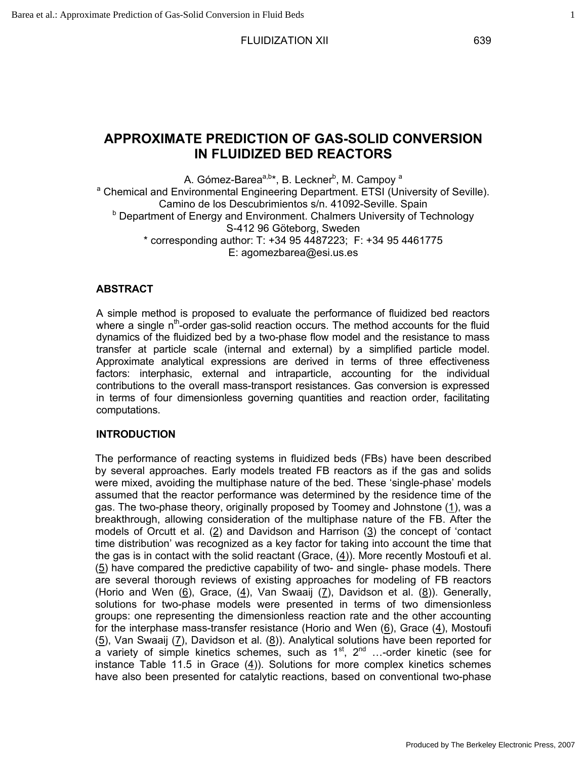# **APPROXIMATE PREDICTION OF GAS-SOLID CONVERSION IN FLUIDIZED BED REACTORS**

A. Gómez-Barea<sup>a,b</sup>\*, B. Leckner<sup>b</sup>, M. Campoy <sup>a</sup> <sup>a</sup> Chemical and Environmental Engineering Department. ETSI (University of Seville). Camino de los Descubrimientos s/n. 41092-Seville. Spain <sup>b</sup> Department of Energy and Environment. Chalmers University of Technology S-412 96 Göteborg, Sweden  $*$  corresponding author: T: +34 95 4487223; F: +34 95 4461775 E: agomezbarea@esi.us.es

#### **ABSTRACT**

A simple method is proposed to evaluate the performance of fluidized bed reactors where a single  $n<sup>th</sup>$ -order gas-solid reaction occurs. The method accounts for the fluid dynamics of the fluidized bed by a two-phase flow model and the resistance to mass transfer at particle scale (internal and external) by a simplified particle model. Approximate analytical expressions are derived in terms of three effectiveness factors: interphasic, external and intraparticle, accounting for the individual contributions to the overall mass-transport resistances. Gas conversion is expressed in terms of four dimensionless governing quantities and reaction order, facilitating computations.

#### **INTRODUCTION**

The performance of reacting systems in fluidized beds (FBs) have been described by several approaches. Early models treated FB reactors as if the gas and solids were mixed, avoiding the multiphase nature of the bed. These 'single-phase' models assumed that the reactor performance was determined by the residence time of the gas. The two-phase theory, originally proposed by Toomey and Johnstone (1), was a breakthrough, allowing consideration of the multiphase nature of the FB. After the models of Orcutt et al.  $(2)$  and Davidson and Harrison  $(3)$  the concept of 'contact time distribution' was recognized as a key factor for taking into account the time that the gas is in contact with the solid reactant (Grace, (4)). More recently Mostoufi et al.  $(5)$  have compared the predictive capability of two- and single- phase models. There are several thorough reviews of existing approaches for modeling of FB reactors (Horio and Wen  $(6)$ , Grace,  $(4)$ , Van Swaaij  $(7)$ , Davidson et al.  $(8)$ ). Generally, solutions for two-phase models were presented in terms of two dimensionless groups: one representing the dimensionless reaction rate and the other accounting for the interphase mass-transfer resistance (Horio and Wen (6), Grace (4), Mostoufi (5), Van Swaaij (7), Davidson et al. (8)). Analytical solutions have been reported for a variety of simple kinetics schemes, such as  $1^{st}$ ,  $2^{nd}$  ...-order kinetic (see for instance Table 11.5 in Grace (4)). Solutions for more complex kinetics schemes have also been presented for catalytic reactions, based on conventional two-phase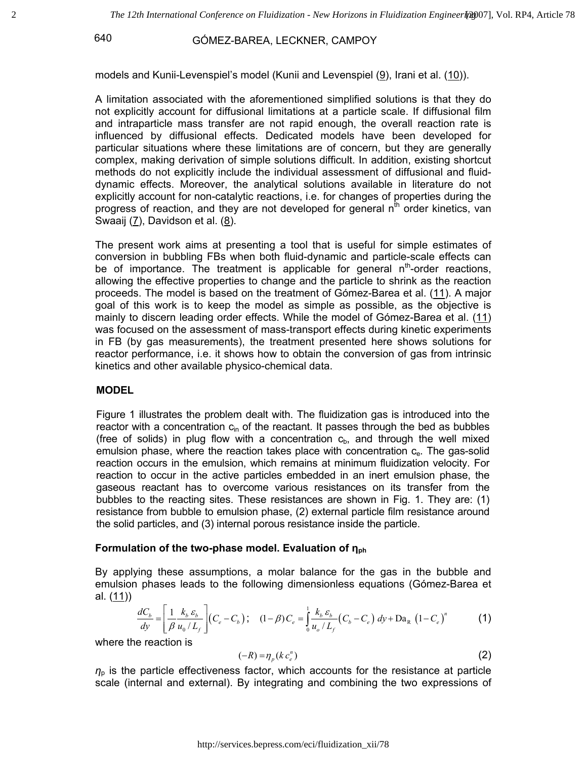models and Kunii-Levenspiel's model (Kunii and Levenspiel (9), Irani et al. (10)).

A limitation associated with the aforementioned simplified solutions is that they do not explicitly account for diffusional limitations at a particle scale. If diffusional film and intraparticle mass transfer are not rapid enough, the overall reaction rate is influenced by diffusional effects. Dedicated models have been developed for particular situations where these limitations are of concern, but they are generally complex, making derivation of simple solutions difficult. In addition, existing shortcut methods do not explicitly include the individual assessment of diffusional and fluiddynamic effects. Moreover, the analytical solutions available in literature do not explicitly account for non-catalytic reactions, i.e. for changes of properties during the progress of reaction, and they are not developed for general  $n<sup>th</sup>$  order kinetics, van Swaaij  $(7)$ , Davidson et al.  $(8)$ .

The present work aims at presenting a tool that is useful for simple estimates of conversion in bubbling FBs when both fluid-dynamic and particle-scale effects can be of importance. The treatment is applicable for general  $n<sup>th</sup>$ -order reactions, allowing the effective properties to change and the particle to shrink as the reaction proceeds. The model is based on the treatment of Gómez-Barea et al. (11). A major goal of this work is to keep the model as simple as possible, as the objective is mainly to discern leading order effects. While the model of Gómez-Barea et al. (11) was focused on the assessment of mass-transport effects during kinetic experiments in FB (by gas measurements), the treatment presented here shows solutions for reactor performance, i.e. it shows how to obtain the conversion of gas from intrinsic kinetics and other available physico-chemical data.

# **MODEL**

Figure 1 illustrates the problem dealt with. The fluidization gas is introduced into the reactor with a concentration  $c_{in}$  of the reactant. It passes through the bed as bubbles (free of solids) in plug flow with a concentration  $c<sub>b</sub>$ , and through the well mixed emulsion phase, where the reaction takes place with concentration  $c_{e}$ . The gas-solid reaction occurs in the emulsion, which remains at minimum fluidization velocity. For reaction to occur in the active particles embedded in an inert emulsion phase, the gaseous reactant has to overcome various resistances on its transfer from the bubbles to the reacting sites. These resistances are shown in Fig. 1. They are: (1) resistance from bubble to emulsion phase, (2) external particle film resistance around the solid particles, and (3) internal porous resistance inside the particle.

### **Formulation of the two-phase model. Evaluation of ηph**

By applying these assumptions, a molar balance for the gas in the bubble and emulsion phases leads to the following dimensionless equations (Gómez-Barea et al. (11))

$$
\frac{dC_b}{dy} = \left[\frac{1}{\beta} \frac{k_b \varepsilon_b}{u_0/L_f}\right] (C_e - C_b); \quad (1 - \beta) C_e = \frac{1}{\beta} \frac{k_b \varepsilon_b}{u_0/L_f} (C_b - C_e) dy + Da_R (1 - C_e)^n \tag{1}
$$

where the reaction is

$$
(-R) = \eta_p(k c_e^n) \tag{2}
$$

 $n<sub>p</sub>$  is the particle effectiveness factor, which accounts for the resistance at particle scale (internal and external). By integrating and combining the two expressions of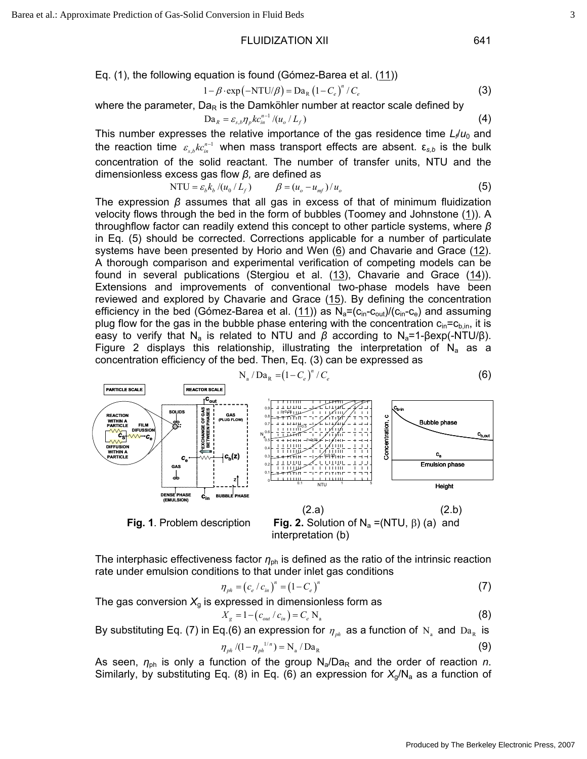Eq. (1), the following equation is found (Gómez-Barea et al. (11))

$$
1 - \beta \cdot \exp\left(-NTU/\beta\right) = Da_R \left(1 - C_e\right)^n / C_e \tag{3}
$$

where the parameter,  $Da<sub>R</sub>$  is the Damköhler number at reactor scale defined by

$$
Da_R = \varepsilon_{s,b} \eta_p k c_m^{n-1} / (u_o / L_f)
$$
 (4)

This number expresses the relative importance of the gas residence time  $L \neq u_0$  and the reaction time  $\varepsilon_{s,b} k c_{in}^{n-1}$  when mass transport effects are absent.  $\varepsilon_{s,b}$  is the bulk concentration of the solid reactant. The number of transfer units, NTU and the dimensionless excess gas flow *β,* are defined as

NTU = 
$$
\varepsilon_b k_b / (u_0 / L_f)
$$
  $\beta = (u_o - u_{mf}) / u_o$  (5)

The expression *β* assumes that all gas in excess of that of minimum fluidization velocity flows through the bed in the form of bubbles (Toomey and Johnstone (1)). A throughflow factor can readily extend this concept to other particle systems, where *β* in Eq. (5) should be corrected. Corrections applicable for a number of particulate systems have been presented by Horio and Wen  $(6)$  and Chavarie and Grace  $(12)$ . A thorough comparison and experimental verification of competing models can be found in several publications (Stergiou et al. (13), Chavarie and Grace (14)). Extensions and improvements of conventional two-phase models have been reviewed and explored by Chavarie and Grace  $(15)$ . By defining the concentration efficiency in the bed (Gómez-Barea et al.  $(11)$ ) as  $N_a = (c_{in} - c_{out})/(c_{in} - c_e)$  and assuming plug flow for the gas in the bubble phase entering with the concentration  $c_{in}=c_{b,in}$ , it is easy to verify that N<sub>a</sub> is related to NTU and  $β$  according to N<sub>a</sub>=1-βexp(-NTU/β). Figure 2 displays this relationship, illustrating the interpretation of  $N_a$  as a concentration efficiency of the bed. Then, Eq. (3) can be expressed as

$$
N_a / Da_R = (1 - C_e)^n / C_e \tag{6}
$$



**Fig. 1**. Problem description **Fig. 2.** Solution of  $N_a = (NTU, \beta)$  (a) and interpretation (b)

The interphasic effectiveness factor  $η_{ph}$  is defined as the ratio of the intrinsic reaction rate under emulsion conditions to that under inlet gas conditions

$$
\eta_{ph} = (c_e / c_{in})^n = (1 - C_e)^n
$$
\n(7)

The gas conversion  $X_g$  is expressed in dimensionless form as

$$
X_{g} = 1 - (c_{out} / c_{in}) = C_{e} N_{a}
$$
 (8)

By substituting Eq. (7) in Eq.(6) an expression for  $\eta_{ph}$  as a function of N<sub>a</sub> and Da<sub>R</sub> is

$$
\eta_{ph}/(1-\eta_{ph}^{-1/n}) = N_a / Da_R
$$
\n(9)

As seen,  $\eta_{ph}$  is only a function of the group  $N_a/Da_R$  and the order of reaction *n*. Similarly, by substituting Eq. (8) in Eq. (6) an expression for  $X_g/N_a$  as a function of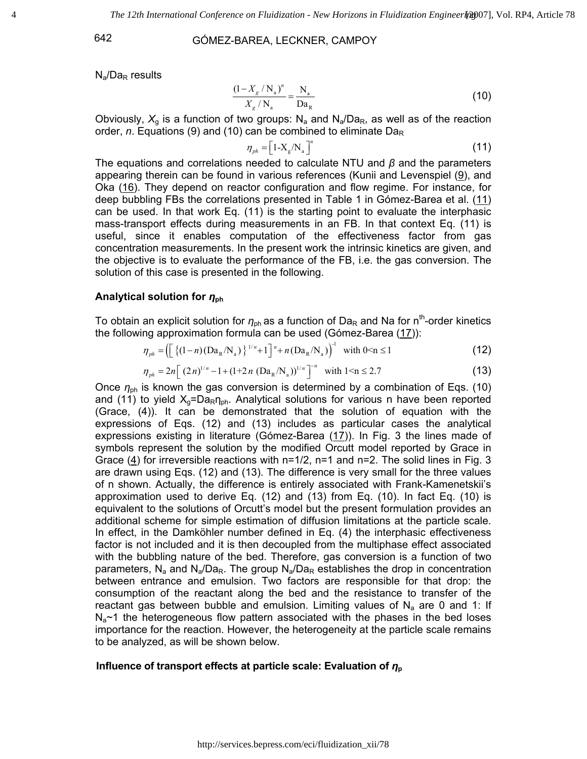$N_a/Da_R$  results

$$
\frac{\left(1 - X_g / \mathbf{N}_a\right)^n}{X_g / \mathbf{N}_a} = \frac{\mathbf{N}_a}{\mathbf{D} \mathbf{a}_R} \tag{10}
$$

Obviously,  $X_q$  is a function of two groups:  $N_a$  and  $N_a/Da_R$ , as well as of the reaction order, *n*. Equations (9) and (10) can be combined to eliminate Da<sub>R</sub>

$$
\eta_{ph} = \left[1 - X_g / N_a\right]^n \tag{11}
$$

The equations and correlations needed to calculate NTU and *β* and the parameters appearing therein can be found in various references (Kunii and Levenspiel (9), and Oka  $(16)$ . They depend on reactor configuration and flow regime. For instance, for deep bubbling FBs the correlations presented in Table 1 in Gómez-Barea et al.  $(11)$ can be used. In that work Eq. (11) is the starting point to evaluate the interphasic mass-transport effects during measurements in an FB. In that context Eq. (11) is useful, since it enables computation of the effectiveness factor from gas concentration measurements. In the present work the intrinsic kinetics are given, and the objective is to evaluate the performance of the FB, i.e. the gas conversion. The solution of this case is presented in the following.

#### **Analytical solution for** *η***<sub>ph</sub>**

To obtain an explicit solution for *η*<sub>ph</sub> as a function of Da<sub>R</sub> and Na for n<sup>th</sup>-order kinetics the following approximation formula can be used (Gómez-Barea (17)):

$$
\eta_{ph} = \left( \left[ \left\{ (1-n)(Da_R/N_a) \right\}^{1/n} + 1 \right]^n + n\left( Da_R/N_a \right) \right)^{-1} \text{ with } 0 < n \le 1 \tag{12}
$$

$$
\eta_{ph} = 2n \left[ (2n)^{1/n} - 1 + (1 + 2n (Da_R/N_a))^{1/n} \right]^{-n} \text{ with } 1 \le n \le 2.7
$$
 (13)

Once *η*ph is known the gas conversion is determined by a combination of Eqs. (10) and (11) to yield  $X_g = Da_R \eta_{ph}$ . Analytical solutions for various n have been reported (Grace, (4)). It can be demonstrated that the solution of equation with the expressions of Eqs. (12) and (13) includes as particular cases the analytical expressions existing in literature (Gómez-Barea (17)). In Fig. 3 the lines made of symbols represent the solution by the modified Orcutt model reported by Grace in Grace (4) for irreversible reactions with  $n=1/2$ ,  $n=1$  and  $n=2$ . The solid lines in Fig. 3 are drawn using Eqs. (12) and (13). The difference is very small for the three values of n shown. Actually, the difference is entirely associated with Frank-Kamenetskii's approximation used to derive Eq. (12) and (13) from Eq. (10). In fact Eq. (10) is equivalent to the solutions of Orcutt's model but the present formulation provides an additional scheme for simple estimation of diffusion limitations at the particle scale. In effect, in the Damköhler number defined in Eq. (4) the interphasic effectiveness factor is not included and it is then decoupled from the multiphase effect associated with the bubbling nature of the bed. Therefore, gas conversion is a function of two parameters, N<sub>a</sub> and N<sub>a</sub>/Da<sub>R</sub>. The group N<sub>a</sub>/Da<sub>R</sub> establishes the drop in concentration between entrance and emulsion. Two factors are responsible for that drop: the consumption of the reactant along the bed and the resistance to transfer of the reactant gas between bubble and emulsion. Limiting values of  $N_a$  are 0 and 1: If  $N_a$ ~1 the heterogeneous flow pattern associated with the phases in the bed loses importance for the reaction. However, the heterogeneity at the particle scale remains to be analyzed, as will be shown below.

#### **Influence of transport effects at particle scale: Evaluation of**  $η<sub>ρ</sub>$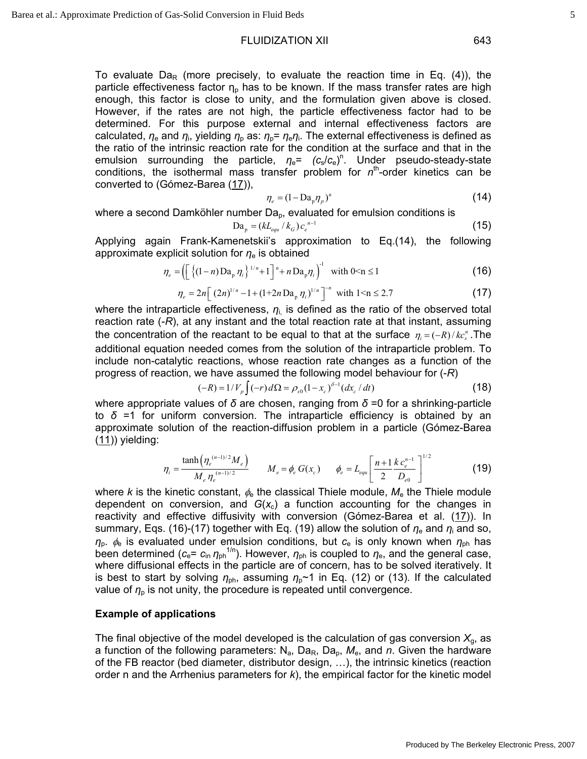To evaluate Da<sub>R</sub> (more precisely, to evaluate the reaction time in Eq. (4)), the particle effectiveness factor  $n<sub>p</sub>$  has to be known. If the mass transfer rates are high enough, this factor is close to unity, and the formulation given above is closed. However, if the rates are not high, the particle effectiveness factor had to be determined. For this purpose external and internal effectiveness factors are calculated,  $η_e$  and  $η_i$ , yielding  $η_p$  as:  $η_p$ =  $η_eη_i$ . The external effectiveness is defined as the ratio of the intrinsic reaction rate for the condition at the surface and that in the emulsion surrounding the particle,  $\eta_e = (c_s/c_e)^n$ . Under pseudo-steady-state conditions, the isothermal mass transfer problem for n<sup>th</sup>-order kinetics can be converted to (Gómez-Barea (17)),

$$
\eta_e = (1 - \text{Da}_p \eta_p)^n \tag{14}
$$

where a second Damköhler number Da<sub>p</sub>, evaluated for emulsion conditions is

$$
Da_p = (kL_{equ} / k_G) c_e^{n-1}
$$
 (15)

Applying again Frank-Kamenetskii's approximation to Eq.(14), the following approximate explicit solution for *η*e is obtained

$$
\eta_e = \left( \left[ \left\{ (1-n) \, \text{Da}_p \, \eta_i \right\}^{1/n} + 1 \right]^n + n \, \text{Da}_p \eta_i \right)^{-1} \quad \text{with } 0 \le n \le 1 \tag{16}
$$

$$
\eta_e = 2n \left[ (2n)^{1/n} - 1 + (1 + 2n \operatorname{Da}_p \eta_i)^{1/n} \right]^{-n} \text{ with } 1 \le n \le 2.7
$$
 (17)

where the intraparticle effectiveness,  $\eta_i$  is defined as the ratio of the observed total reaction rate (-*R*), at any instant and the total reaction rate at that instant, assuming the concentration of the reactant to be equal to that at the surface  $\eta_i = (-R)/k c_i^*$ . The additional equation needed comes from the solution of the intraparticle problem. To include non-catalytic reactions, whose reaction rate changes as a function of the progress of reaction, we have assumed the following model behaviour for (-*R*)

$$
(-R) = 1/V_p \int (-r) d\Omega = \rho_{s0} (1 - x_c)^{\delta - 1} (dx_c / dt)
$$
 (18)

where appropriate values of *δ* are chosen, ranging from *δ* =0 for a shrinking-particle to  $\delta$  =1 for uniform conversion. The intraparticle efficiency is obtained by an approximate solution of the reaction-diffusion problem in a particle (Gómez-Barea  $(11)$ ) yielding:

$$
\eta_i = \frac{\tanh\left(\eta_e^{(n-1)/2} M_e\right)}{M_e \eta_e^{(n-1)/2}} \qquad M_e = \phi_e \ G(x_c) \qquad \phi_e = L_{equ} \left[\frac{n+1}{2} \frac{k \, c_e^{n-1}}{D_{e0}}\right]^{1/2} \tag{19}
$$

where *k* is the kinetic constant,  $\phi_e$  the classical Thiele module,  $M_e$  the Thiele module dependent on conversion, and  $G(x<sub>c</sub>)$  a function accounting for the changes in reactivity and effective diffusivity with conversion (Gómez-Barea et al. (17)). In summary, Eqs. (16)-(17) together with Eq. (19) allow the solution of *η*e and *η*i and so, *η*p. φe is evaluated under emulsion conditions, but *c*e is only known when *η*ph has been determined ( $c_e$ =  $c_{in}$   $\eta_{ph}$ <sup>1/n</sup>). However,  $\eta_{ph}$  is coupled to  $\eta_e$ , and the general case, where diffusional effects in the particle are of concern, has to be solved iteratively. It is best to start by solving  $\eta_{ph}$ , assuming  $\eta_p \sim 1$  in Eq. (12) or (13). If the calculated value of  $\eta_p$  is not unity, the procedure is repeated until convergence.

#### **Example of applications**

The final objective of the model developed is the calculation of gas conversion  $X<sub>a</sub>$ , as a function of the following parameters:  $N_a$ ,  $Da_R$ ,  $Da_p$ ,  $M_e$ , and *n*. Given the hardware of the FB reactor (bed diameter, distributor design, …), the intrinsic kinetics (reaction order n and the Arrhenius parameters for *k*), the empirical factor for the kinetic model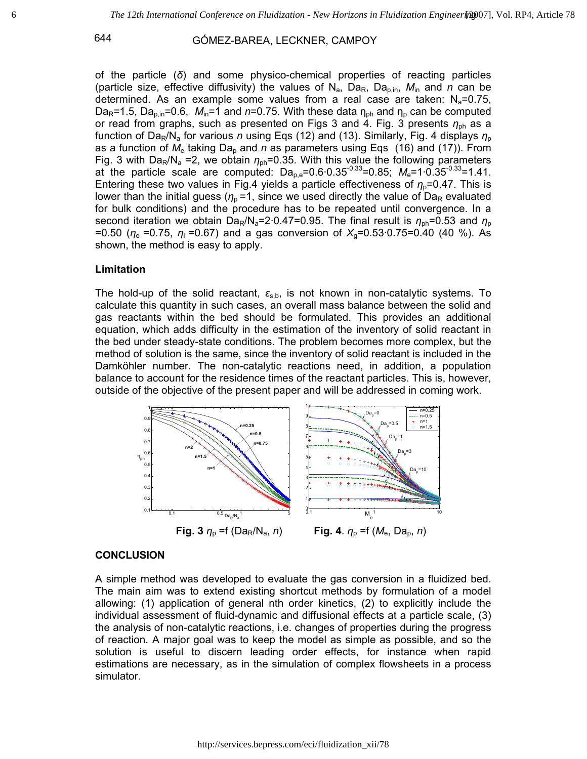of the particle (*δ*) and some physico-chemical properties of reacting particles (particle size, effective diffusivity) the values of  $N_a$ ,  $Da_R$ ,  $Da_{\text{min}}$ ,  $M_{\text{in}}$  and *n* can be determined. As an example some values from a real case are taken:  $N_a=0.75$ , Da<sub>R</sub>=1.5, Da<sub>p,in</sub>=0.6,  $M_{\text{in}}$ =1 and  $n$ =0.75. With these data  $\eta_{\text{on}}$  and  $\eta_{\text{p}}$  can be computed or read from graphs, such as presented on Figs 3 and 4. Fig. 3 presents *η*ph as a function of Da<sub>R</sub>/N<sub>a</sub> for various *n* using Eqs (12) and (13). Similarly, Fig. 4 displays  $η<sub>o</sub>$ as a function of  $M_e$  taking Da<sub>p</sub> and n as parameters using Eqs (16) and (17)). From Fig. 3 with Da<sub>R</sub>/N<sub>a</sub> =2, we obtain  $\eta_{ph}$ =0.35. With this value the following parameters at the particle scale are computed:  $Da_{p,e}=0.6 \cdot 0.35^{-0.33}=0.85$ ;  $M_e=1 \cdot 0.35^{-0.33}=1.41$ . Entering these two values in Fig.4 yields a particle effectiveness of  $\eta_{p}$ =0.47. This is lower than the initial guess ( $\eta_p$  =1, since we used directly the value of Da<sub>R</sub> evaluated for bulk conditions) and the procedure has to be repeated until convergence. In a second iteration we obtain Da<sub>R</sub>/N<sub>a</sub>=2.0.47=0.95. The final result is  $\eta_{ph}$ =0.53 and  $\eta_p$ =0.50 (*η*e =0.75, *η*i =0.67) and a gas conversion of *X*g=0.53·0.75=0.40 (40 %). As shown, the method is easy to apply.

#### **Limitation**

The hold-up of the solid reactant,  $\varepsilon_{s,b}$ , is not known in non-catalytic systems. To calculate this quantity in such cases, an overall mass balance between the solid and gas reactants within the bed should be formulated. This provides an additional equation, which adds difficulty in the estimation of the inventory of solid reactant in the bed under steady-state conditions. The problem becomes more complex, but the method of solution is the same, since the inventory of solid reactant is included in the Damköhler number. The non-catalytic reactions need, in addition, a population balance to account for the residence times of the reactant particles. This is, however, outside of the objective of the present paper and will be addressed in coming work.



 **Fig. 3**  $\eta_p$  =f (Da<sub>R</sub>/N<sub>a</sub>, *n*) **Fig. 4**.  $\eta_p$  =f (M<sub>e</sub>, Da<sub>p</sub>, *n*)

### **CONCLUSION**

A simple method was developed to evaluate the gas conversion in a fluidized bed. The main aim was to extend existing shortcut methods by formulation of a model allowing: (1) application of general nth order kinetics, (2) to explicitly include the individual assessment of fluid-dynamic and diffusional effects at a particle scale, (3) the analysis of non-catalytic reactions, i.e. changes of properties during the progress of reaction. A major goal was to keep the model as simple as possible, and so the solution is useful to discern leading order effects, for instance when rapid estimations are necessary, as in the simulation of complex flowsheets in a process simulator.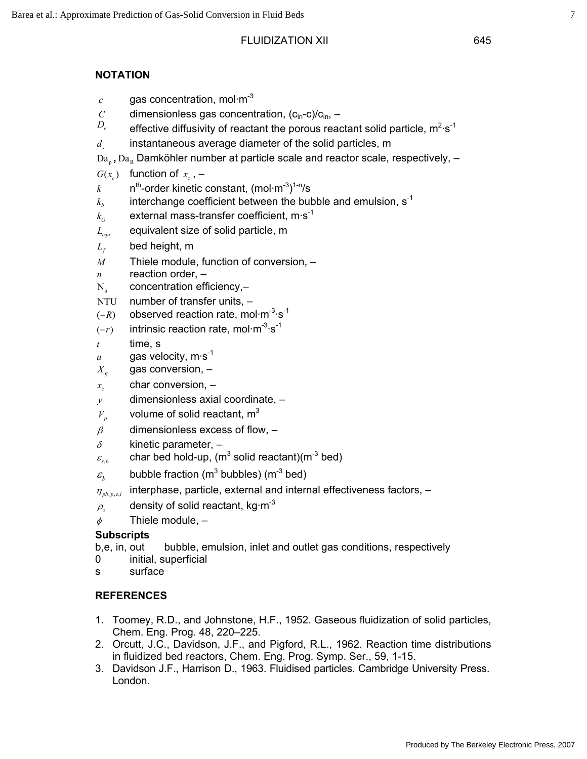# **NOTATION**

- $c$  gas concentration, mol $\cdot$ m<sup>-3</sup>
- *C* dimensionless gas concentration,  $(c_{in}-c)/c_{in}$ ,  $D_c$  offective diffusivity of reactant the persus read
- $D_e$  effective diffusivity of reactant the porous reactant solid particle, m<sup>2</sup>·s<sup>-1</sup>
- *<sup>s</sup> d* instantaneous average diameter of the solid particles, m
- Da<sub>n</sub>, Da<sub>R</sub> Damköhler number at particle scale and reactor scale, respectively, –
- $G(x_c)$  function of  $x_c$ , –
- $k$  n<sup>th</sup>-order kinetic constant, (mol·m<sup>-3</sup>)<sup>1-n</sup>/s
- $k_h$  interchange coefficient between the bubble and emulsion,  $s^{-1}$
- $k<sub>G</sub>$  external mass-transfer coefficient, m·s<sup>-1</sup>
- *Lequ* equivalent size of solid particle, m
- $L_f$  bed height, m
- *M* Thiele module, function of conversion, –
- *n* reaction order, –
- $N_a$  concentration efficiency,-
- NTU number of transfer units, –
- $(-R)$  observed reaction rate, mol·m<sup>-3</sup>·s<sup>-1</sup>
- $(-r)$  intrinsic reaction rate, mol·m<sup>-3</sup>·s<sup>-1</sup>
- *t* time, s
- $u$  gas velocity, m $\cdot$ s<sup>-1</sup>
- $X_{g}$  gas conversion,  $-$
- *<sup>c</sup> x* char conversion, –
- *y* dimensionless axial coordinate, –
- $V_p$  volume of solid reactant, m<sup>3</sup>
- $\beta$  dimensionless excess of flow,  $-$
- $\delta$  kinetic parameter,  $-$
- $\varepsilon_{\text{\tiny s,b}}$  echar bed hold-up, (m $^3$  solid reactant)(m $^3$  bed)
- $\varepsilon_b$  bubble fraction (m<sup>3</sup> bubbles) (m<sup>-3</sup> bed)
- $\eta_{\textit{ph-pel}}$  interphase, particle, external and internal effectiveness factors, –
- $\rho_s$  density of solid reactant, kg·m<sup>-3</sup>
- $\phi$  Thiele module,  $-$

# **Subscripts**

- b,e, in, out bubble, emulsion, inlet and outlet gas conditions, respectively
- 0 initial, superficial
- s surface

# **REFERENCES**

- 1. Toomey, R.D., and Johnstone, H.F., 1952. Gaseous fluidization of solid particles, Chem. Eng. Prog. 48, 220–225.
- 2. Orcutt, J.C., Davidson, J.F., and Pigford, R.L., 1962. Reaction time distributions in fluidized bed reactors, Chem. Eng. Prog. Symp. Ser., 59, 1-15.
- 3. Davidson J.F., Harrison D., 1963. Fluidised particles. Cambridge University Press. London.